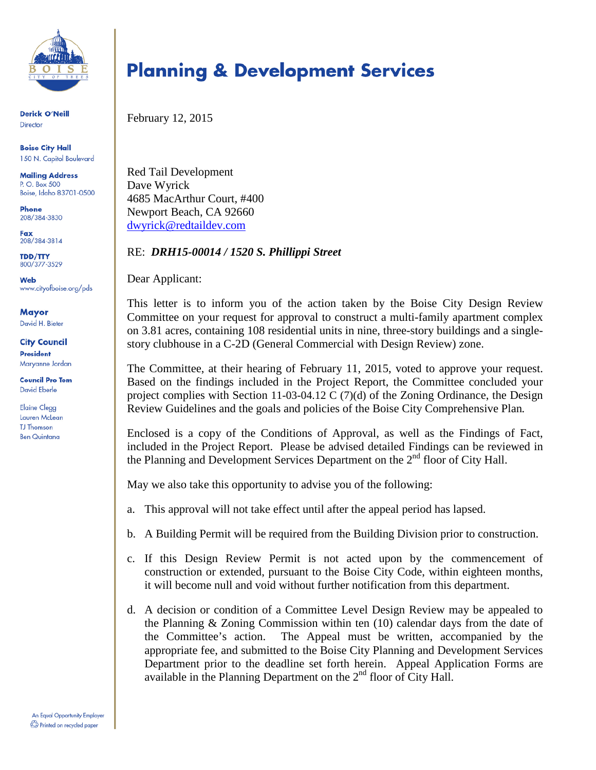

**Derick O'Neill** Director

**Boise City Hall** 150 N. Capitol Boulevard

**Mailing Address** P. O. Box 500 Boise, Idaho 83701-0500

Phone 208/384-3830

Fax 208/384-3814

**TDD/TTY** 800/377-3529

**Web** www.cityofboise.org/pds

Mayor David H. Bieter

**City Council President** Maryanne Jordan

**Council Pro Tem David Eberle** 

**Elaine Clegg Lauren McLean TJ** Thomson **Ben Quintana** 

# **Planning & Development Services**

February 12, 2015

Red Tail Development Dave Wyrick 4685 MacArthur Court, #400 Newport Beach, CA 92660 [dwyrick@redtaildev.com](mailto:dwyrick@redtaildev.com)

#### RE: *DRH15-00014 / 1520 S. Phillippi Street*

Dear Applicant:

This letter is to inform you of the action taken by the Boise City Design Review Committee on your request for approval to construct a multi-family apartment complex on 3.81 acres, containing 108 residential units in nine, three-story buildings and a singlestory clubhouse in a C-2D (General Commercial with Design Review) zone.

The Committee, at their hearing of February 11, 2015, voted to approve your request. Based on the findings included in the Project Report, the Committee concluded your project complies with Section 11-03-04.12 C (7)(d) of the Zoning Ordinance, the Design Review Guidelines and the goals and policies of the Boise City Comprehensive Plan*.*

Enclosed is a copy of the Conditions of Approval, as well as the Findings of Fact, included in the Project Report. Please be advised detailed Findings can be reviewed in the Planning and Development Services Department on the  $2<sup>nd</sup>$  floor of City Hall.

May we also take this opportunity to advise you of the following:

- a. This approval will not take effect until after the appeal period has lapsed.
- b. A Building Permit will be required from the Building Division prior to construction.
- c. If this Design Review Permit is not acted upon by the commencement of construction or extended, pursuant to the Boise City Code, within eighteen months, it will become null and void without further notification from this department.
- d. A decision or condition of a Committee Level Design Review may be appealed to the Planning & Zoning Commission within ten (10) calendar days from the date of the Committee's action. The Appeal must be written, accompanied by the appropriate fee, and submitted to the Boise City Planning and Development Services Department prior to the deadline set forth herein. Appeal Application Forms are available in the Planning Department on the  $2<sup>nd</sup>$  floor of City Hall.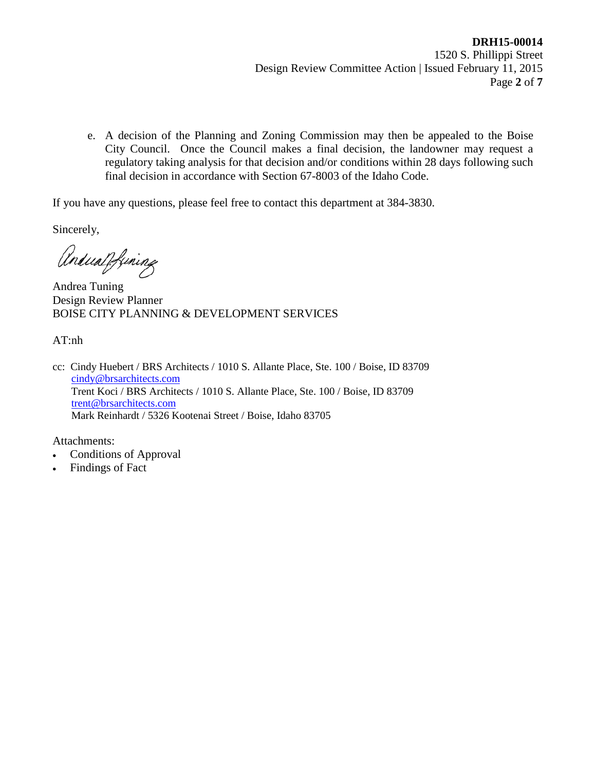e. A decision of the Planning and Zoning Commission may then be appealed to the Boise City Council. Once the Council makes a final decision, the landowner may request a regulatory taking analysis for that decision and/or conditions within 28 days following such final decision in accordance with Section 67-8003 of the Idaho Code.

If you have any questions, please feel free to contact this department at 384-3830.

Sincerely,

Andualpfining

Andrea Tuning Design Review Planner BOISE CITY PLANNING & DEVELOPMENT SERVICES

AT:nh

cc: Cindy Huebert / BRS Architects / 1010 S. Allante Place, Ste. 100 / Boise, ID 83709 [cindy@brsarchitects.com](mailto:cindy@brsarchitects.com) Trent Koci / BRS Architects / 1010 S. Allante Place, Ste. 100 / Boise, ID 83709 [trent@brsarchitects.com](mailto:trent@brsarchitects.com) Mark Reinhardt / 5326 Kootenai Street / Boise, Idaho 83705

Attachments:

- Conditions of Approval
- Findings of Fact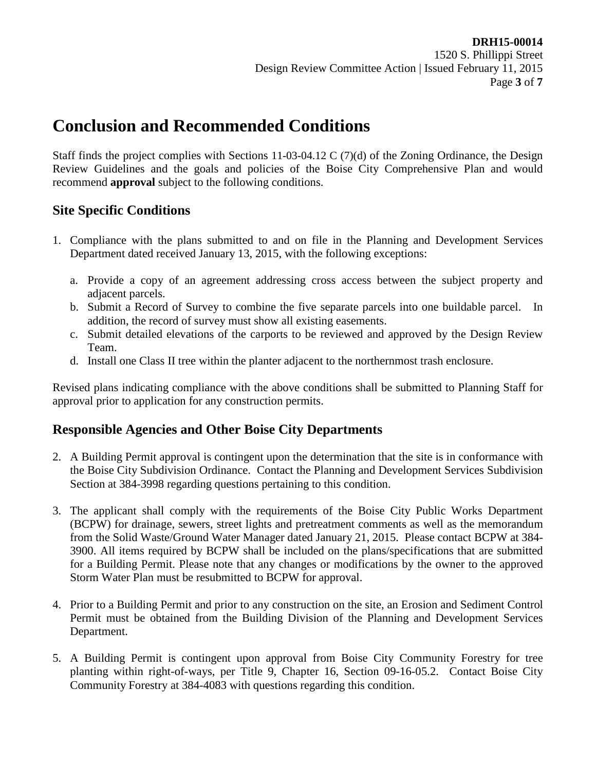## **Conclusion and Recommended Conditions**

Staff finds the project complies with Sections 11-03-04.12 C (7)(d) of the Zoning Ordinance, the Design Review Guidelines and the goals and policies of the Boise City Comprehensive Plan and would recommend **approval** subject to the following conditions.

## **Site Specific Conditions**

- 1. Compliance with the plans submitted to and on file in the Planning and Development Services Department dated received January 13, 2015, with the following exceptions:
	- a. Provide a copy of an agreement addressing cross access between the subject property and adjacent parcels.
	- b. Submit a Record of Survey to combine the five separate parcels into one buildable parcel. In addition, the record of survey must show all existing easements.
	- c. Submit detailed elevations of the carports to be reviewed and approved by the Design Review Team.
	- d. Install one Class II tree within the planter adjacent to the northernmost trash enclosure.

Revised plans indicating compliance with the above conditions shall be submitted to Planning Staff for approval prior to application for any construction permits.

#### **Responsible Agencies and Other Boise City Departments**

- 2. A Building Permit approval is contingent upon the determination that the site is in conformance with the Boise City Subdivision Ordinance. Contact the Planning and Development Services Subdivision Section at 384-3998 regarding questions pertaining to this condition.
- 3. The applicant shall comply with the requirements of the Boise City Public Works Department (BCPW) for drainage, sewers, street lights and pretreatment comments as well as the memorandum from the Solid Waste/Ground Water Manager dated January 21, 2015. Please contact BCPW at 384- 3900. All items required by BCPW shall be included on the plans/specifications that are submitted for a Building Permit. Please note that any changes or modifications by the owner to the approved Storm Water Plan must be resubmitted to BCPW for approval.
- 4. Prior to a Building Permit and prior to any construction on the site, an Erosion and Sediment Control Permit must be obtained from the Building Division of the Planning and Development Services Department.
- 5. A Building Permit is contingent upon approval from Boise City Community Forestry for tree planting within right-of-ways, per Title 9, Chapter 16, Section 09-16-05.2. Contact Boise City Community Forestry at 384-4083 with questions regarding this condition.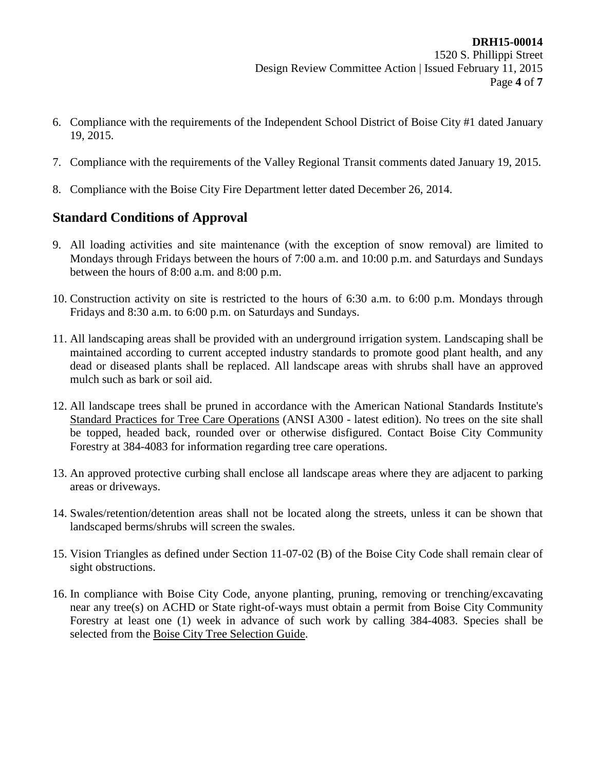- 6. Compliance with the requirements of the Independent School District of Boise City #1 dated January 19, 2015.
- 7. Compliance with the requirements of the Valley Regional Transit comments dated January 19, 2015.
- 8. Compliance with the Boise City Fire Department letter dated December 26, 2014.

## **Standard Conditions of Approval**

- 9. All loading activities and site maintenance (with the exception of snow removal) are limited to Mondays through Fridays between the hours of 7:00 a.m. and 10:00 p.m. and Saturdays and Sundays between the hours of 8:00 a.m. and 8:00 p.m.
- 10. Construction activity on site is restricted to the hours of 6:30 a.m. to 6:00 p.m. Mondays through Fridays and 8:30 a.m. to 6:00 p.m. on Saturdays and Sundays.
- 11. All landscaping areas shall be provided with an underground irrigation system. Landscaping shall be maintained according to current accepted industry standards to promote good plant health, and any dead or diseased plants shall be replaced. All landscape areas with shrubs shall have an approved mulch such as bark or soil aid.
- 12. All landscape trees shall be pruned in accordance with the American National Standards Institute's Standard Practices for Tree Care Operations (ANSI A300 - latest edition). No trees on the site shall be topped, headed back, rounded over or otherwise disfigured. Contact Boise City Community Forestry at 384-4083 for information regarding tree care operations.
- 13. An approved protective curbing shall enclose all landscape areas where they are adjacent to parking areas or driveways.
- 14. Swales/retention/detention areas shall not be located along the streets, unless it can be shown that landscaped berms/shrubs will screen the swales.
- 15. Vision Triangles as defined under Section 11-07-02 (B) of the Boise City Code shall remain clear of sight obstructions.
- 16. In compliance with Boise City Code, anyone planting, pruning, removing or trenching/excavating near any tree(s) on ACHD or State right-of-ways must obtain a permit from Boise City Community Forestry at least one (1) week in advance of such work by calling 384-4083. Species shall be selected from the Boise City Tree Selection Guide.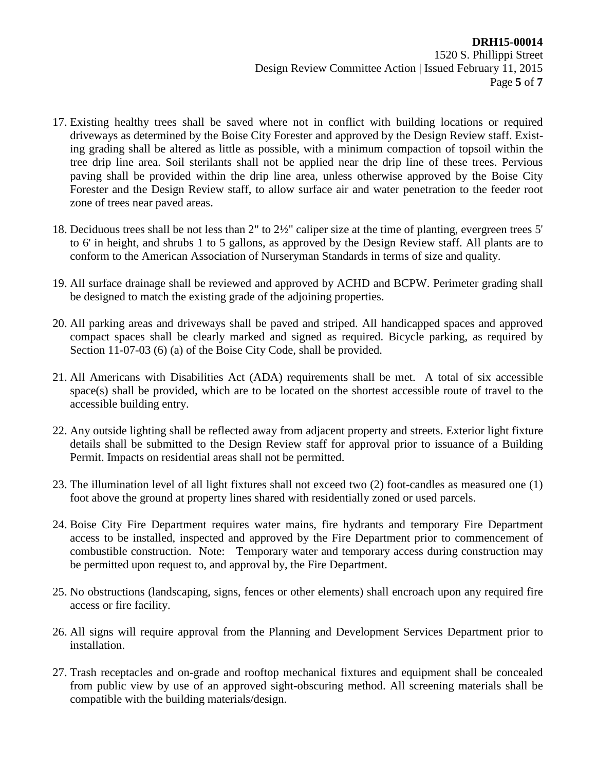- 17. Existing healthy trees shall be saved where not in conflict with building locations or required driveways as determined by the Boise City Forester and approved by the Design Review staff. Existing grading shall be altered as little as possible, with a minimum compaction of topsoil within the tree drip line area. Soil sterilants shall not be applied near the drip line of these trees. Pervious paving shall be provided within the drip line area, unless otherwise approved by the Boise City Forester and the Design Review staff, to allow surface air and water penetration to the feeder root zone of trees near paved areas.
- 18. Deciduous trees shall be not less than 2" to 2½" caliper size at the time of planting, evergreen trees 5' to 6' in height, and shrubs 1 to 5 gallons, as approved by the Design Review staff. All plants are to conform to the American Association of Nurseryman Standards in terms of size and quality.
- 19. All surface drainage shall be reviewed and approved by ACHD and BCPW. Perimeter grading shall be designed to match the existing grade of the adjoining properties.
- 20. All parking areas and driveways shall be paved and striped. All handicapped spaces and approved compact spaces shall be clearly marked and signed as required. Bicycle parking, as required by Section 11-07-03 (6) (a) of the Boise City Code, shall be provided.
- 21. All Americans with Disabilities Act (ADA) requirements shall be met. A total of six accessible space(s) shall be provided, which are to be located on the shortest accessible route of travel to the accessible building entry.
- 22. Any outside lighting shall be reflected away from adjacent property and streets. Exterior light fixture details shall be submitted to the Design Review staff for approval prior to issuance of a Building Permit. Impacts on residential areas shall not be permitted.
- 23. The illumination level of all light fixtures shall not exceed two (2) foot-candles as measured one (1) foot above the ground at property lines shared with residentially zoned or used parcels.
- 24. Boise City Fire Department requires water mains, fire hydrants and temporary Fire Department access to be installed, inspected and approved by the Fire Department prior to commencement of combustible construction. Note: Temporary water and temporary access during construction may be permitted upon request to, and approval by, the Fire Department.
- 25. No obstructions (landscaping, signs, fences or other elements) shall encroach upon any required fire access or fire facility.
- 26. All signs will require approval from the Planning and Development Services Department prior to installation.
- 27. Trash receptacles and on-grade and rooftop mechanical fixtures and equipment shall be concealed from public view by use of an approved sight-obscuring method. All screening materials shall be compatible with the building materials/design.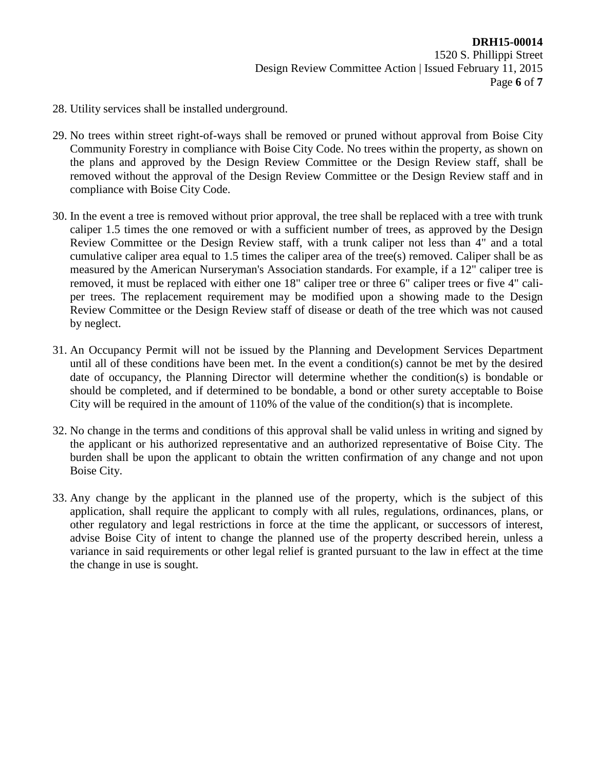- 28. Utility services shall be installed underground.
- 29. No trees within street right-of-ways shall be removed or pruned without approval from Boise City Community Forestry in compliance with Boise City Code. No trees within the property, as shown on the plans and approved by the Design Review Committee or the Design Review staff, shall be removed without the approval of the Design Review Committee or the Design Review staff and in compliance with Boise City Code.
- 30. In the event a tree is removed without prior approval, the tree shall be replaced with a tree with trunk caliper 1.5 times the one removed or with a sufficient number of trees, as approved by the Design Review Committee or the Design Review staff, with a trunk caliper not less than 4" and a total cumulative caliper area equal to 1.5 times the caliper area of the tree(s) removed. Caliper shall be as measured by the American Nurseryman's Association standards. For example, if a 12" caliper tree is removed, it must be replaced with either one 18" caliper tree or three 6" caliper trees or five 4" caliper trees. The replacement requirement may be modified upon a showing made to the Design Review Committee or the Design Review staff of disease or death of the tree which was not caused by neglect.
- 31. An Occupancy Permit will not be issued by the Planning and Development Services Department until all of these conditions have been met. In the event a condition(s) cannot be met by the desired date of occupancy, the Planning Director will determine whether the condition(s) is bondable or should be completed, and if determined to be bondable, a bond or other surety acceptable to Boise City will be required in the amount of 110% of the value of the condition(s) that is incomplete.
- 32. No change in the terms and conditions of this approval shall be valid unless in writing and signed by the applicant or his authorized representative and an authorized representative of Boise City. The burden shall be upon the applicant to obtain the written confirmation of any change and not upon Boise City.
- 33. Any change by the applicant in the planned use of the property, which is the subject of this application, shall require the applicant to comply with all rules, regulations, ordinances, plans, or other regulatory and legal restrictions in force at the time the applicant, or successors of interest, advise Boise City of intent to change the planned use of the property described herein, unless a variance in said requirements or other legal relief is granted pursuant to the law in effect at the time the change in use is sought.